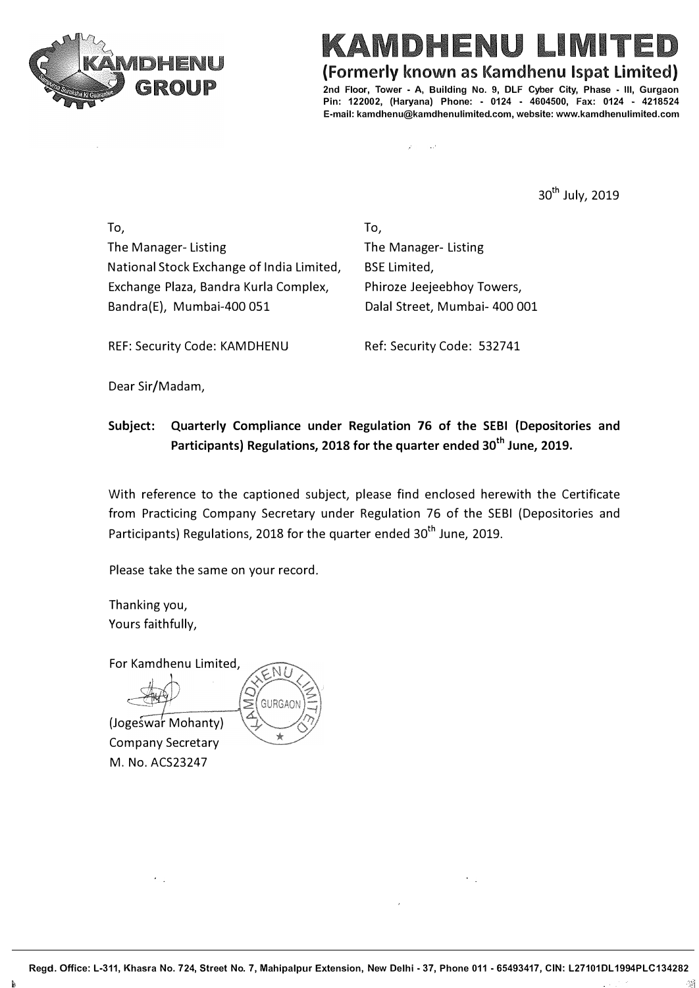

ENTE MDHENU

### **(Formerly known as Kamdhenu lspat limited)**

**2nd Floor, Tower • A, Building No. 9, DLF Cyber City, Phase - Ill, Gurgaon Pin: 122002, (Haryana) Phone: • 0124 • 4604500, Fax: 0124 • 4218524 E-mail: kamdhenu@kamdhenulimited.com, website: www.kamdhenulimited.com**

> $\mathcal{L}^{\mathcal{A}}$  $\mathcal{L}$

> > 30<sup>th</sup> July, 2019

To, The Manager- Listing National Stock Exchange of India Limited, Exchange Plaza, Bandra Kurla Complex, Bandra{E}, Mumbai-400 051

To, The Manager- Listing BSE Limited, Phiroze Jeejeebhoy Towers, Dalal Street, Mumbai- 400 001

REF: Security Code: KAMDHENU Ref: Security Code: 532741

Dear Sir/Madam,

## **Subject: Quarterly Compliance under Regulation 76 of the SEBI (Depositories and Participants) Regulations, 2018 for the quarter ended 30th June, 2019.**

With reference to the captioned subject, please find enclosed herewith the Certificate from Practicing Company Secretary under Regulation 76 of the SEBI {Depositories and Participants) Regulations, 2018 for the quarter ended 30<sup>th</sup> June. 2019.

Please take the same on your record.

Thanking you, Yours faithfully,

For Kamdhenu Limited,



(Jogeswar Mohanty) Company Secretary M. No. ACS23247

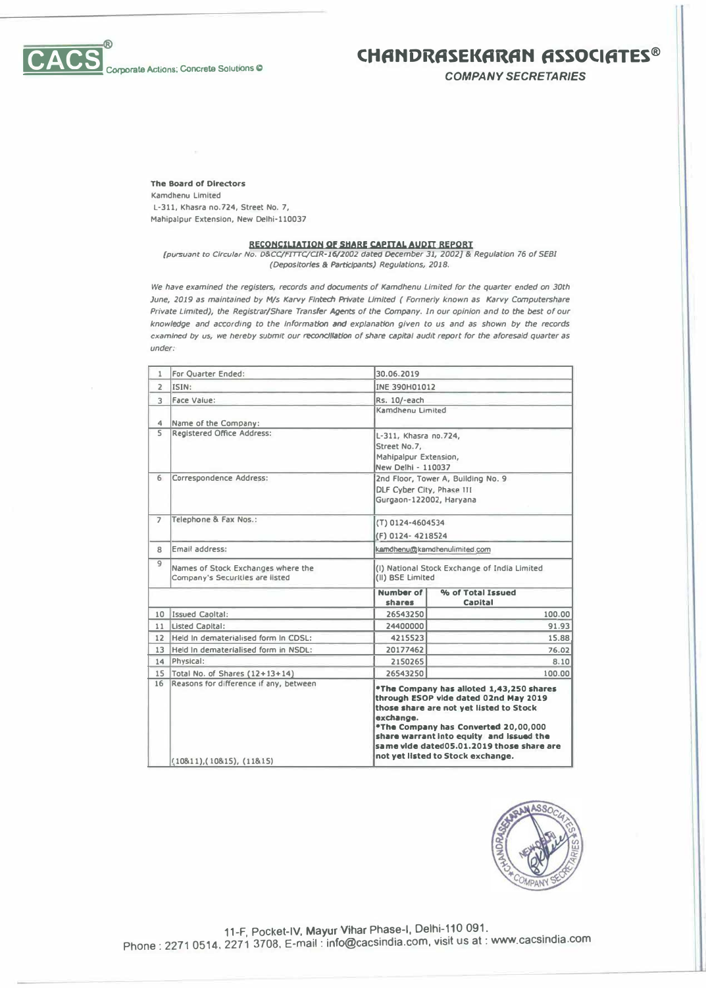

 $\mathsf{C}\mathsf{A}\mathsf{C}$ 

# **CHANDRASEKARAN ASSOCIATES®**

*COMPANY SECRETARJES* 

**The Board of Directors** 

**Kamdhenu Limited L-311, Khasra no.724, Street No. 7, Mahlpalpur Extension, New Oelhl-110037**

**RECQNCJUAJION QP SHARI! CAPITAL AUDIT REPORT**  *{pursuant* **to** *Circular No. O&CCIFITrC/OR-16/2002* **<fate</** *December 31, 2002]* **&** *Regulation 76 of SEBI (Depositories & Participants) Regulations, 2018.* 

*We have examined the registers, records and documents of Kamdhenu Limited for the quarter ended on 30th June, 1019 as maintained by M/s Karvy Flntech Private Um/fed ( Fonnerly known* **as** *Karvy Ccmputershare Private Limited), the Registrar/Share Transfer* **AQent:s** *of* **the** *Company. In our opinion and* **to the** *best of our knowledge and according* **to** *the Information* **and** *explanation given* **to** *us and* **as** *shown by the records ex,,m/ned by us, we hereby SIJbmlt our reconc:Jli.tlon of* **share** *capital audit report for* **the** *aforesafd quarter* **as**  under:

| 1                       | For Quarter Ended:                                                    | 30.06.2019                                                                                                                                                                                                                                                                                                      |                                    |  |
|-------------------------|-----------------------------------------------------------------------|-----------------------------------------------------------------------------------------------------------------------------------------------------------------------------------------------------------------------------------------------------------------------------------------------------------------|------------------------------------|--|
| $\overline{2}$          | ISIN:                                                                 | INE 390H01012                                                                                                                                                                                                                                                                                                   |                                    |  |
| 3                       | Face Value:                                                           | Rs. 10/-each                                                                                                                                                                                                                                                                                                    |                                    |  |
|                         |                                                                       | Kamdhenu Limited                                                                                                                                                                                                                                                                                                |                                    |  |
| 4                       | Name of the Company:                                                  |                                                                                                                                                                                                                                                                                                                 |                                    |  |
| $\overline{\mathsf{S}}$ | <b>Registered Office Address:</b>                                     | L-311, Khasra no.724,                                                                                                                                                                                                                                                                                           |                                    |  |
|                         |                                                                       | Street No.7,                                                                                                                                                                                                                                                                                                    |                                    |  |
|                         |                                                                       |                                                                                                                                                                                                                                                                                                                 | Mahipalpur Extension,              |  |
|                         |                                                                       | New Delhi - 110037                                                                                                                                                                                                                                                                                              |                                    |  |
| 6                       | Correspondence Address:                                               |                                                                                                                                                                                                                                                                                                                 | 2nd Floor, Tower A, Building No. 9 |  |
|                         |                                                                       | DLF Cyber City, Phase III                                                                                                                                                                                                                                                                                       |                                    |  |
|                         |                                                                       | Gurgaon-122002, Haryana                                                                                                                                                                                                                                                                                         |                                    |  |
| $\overline{z}$          | Telephone & Fax Nos.:                                                 | (T) 0124-4604534                                                                                                                                                                                                                                                                                                |                                    |  |
|                         |                                                                       | (F) 0124-4218524                                                                                                                                                                                                                                                                                                |                                    |  |
| 8                       | Email address:                                                        | kamdhenu@kamdhenulimited.com                                                                                                                                                                                                                                                                                    |                                    |  |
| $\overline{9}$          | Names of Stock Exchanges where the<br>Company's Securities are listed | (I) National Stock Exchange of India Limited<br>(II) BSE Limited                                                                                                                                                                                                                                                |                                    |  |
|                         |                                                                       | Number of<br>shares                                                                                                                                                                                                                                                                                             | % of Total Issued<br>Capital       |  |
|                         | 10 Issued Caoltal:                                                    | 26543250                                                                                                                                                                                                                                                                                                        | 100.00                             |  |
|                         | 11 Listed Capital:                                                    | 24400000                                                                                                                                                                                                                                                                                                        | 91.93                              |  |
|                         | 12 Held In dematerialised form In CDSL:                               | 4215523                                                                                                                                                                                                                                                                                                         | 15.88                              |  |
| 13                      | Held In dematerialised form in NSDL:                                  | 20177462                                                                                                                                                                                                                                                                                                        | 76.02                              |  |
|                         | 14 Physical:                                                          | 2150265                                                                                                                                                                                                                                                                                                         | 8.10                               |  |
| 15                      | Total No. of Shares (12+13+14)                                        | 26543250                                                                                                                                                                                                                                                                                                        | 100.00                             |  |
| 16                      | Reasons for difference if any, between<br>(10811), (10815), (11815)   | *The Company has alloted 1.43,250 shares<br>through ESOP vide dated 02nd May 2019<br>those share are not yet listed to Stock<br>exchange.<br>*The Company has Converted 20,00,000<br>share warrant into equity and issued the<br>same vide dated05.01.2019 those share are<br>not yet listed to Stock exchange. |                                    |  |